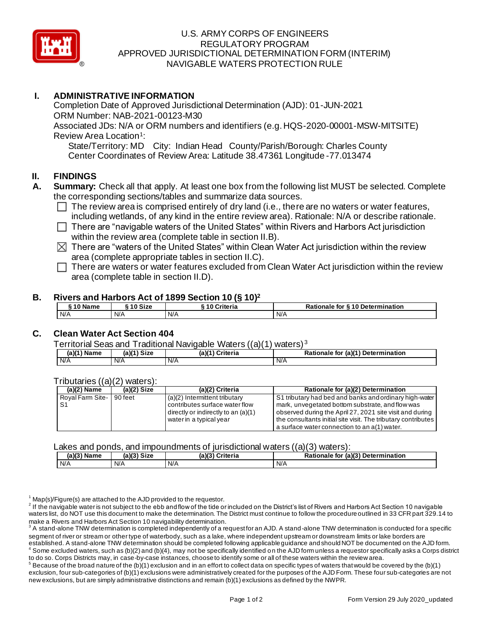

# U.S. ARMY CORPS OF ENGINEERS REGULATORY PROGRAM APPROVED JURISDICTIONAL DETERMINATION FORM (INTERIM) NAVIGABLE WATERS PROTECTION RULE

# **I. ADMINISTRATIVE INFORMATION**

Completion Date of Approved Jurisdictional Determination (AJD): 01-JUN-2021 ORM Number: NAB-2021-00123-M30 Associated JDs: N/A or ORM numbers and identifiers (e.g. HQS-2020-00001-MSW-MITSITE) Review Area Location<sup>1</sup>:

State/Territory: MD City: Indian Head County/Parish/Borough: Charles County Center Coordinates of Review Area: Latitude 38.47361 Longitude -77.013474

### **II. FINDINGS**

- **A. Summary:** Check all that apply. At least one box from the following list MUST be selected. Complete the corresponding sections/tables and summarize data sources.
	- $\Box$  The review area is comprised entirely of dry land (i.e., there are no waters or water features, including wetlands, of any kind in the entire review area). Rationale: N/A or describe rationale.
	- $\Box$  There are "navigable waters of the United States" within Rivers and Harbors Act jurisdiction within the review area (complete table in section II.B).
	- $\boxtimes$  There are "waters of the United States" within Clean Water Act jurisdiction within the review area (complete appropriate tables in section II.C).
	- $\Box$  There are waters or water features excluded from Clean Water Act jurisdiction within the review area (complete table in section II.D).

### **B. Rivers and Harbors Act of 1899 Section 10 (§ 10)<sup>2</sup>**

| <sup>∴</sup> ^ Name | $\lambda$ of $\sim$<br>Size | ີ 10 Criteria | <b>S10 Determination</b><br>for<br>onaie<br>ш |
|---------------------|-----------------------------|---------------|-----------------------------------------------|
| N/A                 | N/A                         | N/A           | N/A                                           |

# **C. Clean Water Act Section 404**

Territorial Seas and Traditional Navigable Waters ((a)(1) waters) <sup>3</sup>

| (a)(1`<br>Name | <b>Size</b><br>$10^{14}$ | $(a)$ (1<br>Criteria | : (a)(1) Determination<br>Rationale<br>for |
|----------------|--------------------------|----------------------|--------------------------------------------|
| N/A            | .<br>N/A                 | N/A                  | N/A                                        |

#### Tributaries ((a)(2) waters):

| (a)(2) Name              | $(a)(2)$ Size | (a)(2) Criteria                     | Rationale for (a)(2) Determination                            |
|--------------------------|---------------|-------------------------------------|---------------------------------------------------------------|
| Royal Farm Site- 90 feet |               | (a)(2) Intermittent tributary       | S1 tributary had bed and banks and ordinary high-water        |
|                          |               | contributes surface water flow      | mark, unvegetated bottom substrate, and flow was              |
|                          |               | directly or indirectly to an (a)(1) | observed during the April 27, 2021 site visit and during      |
|                          |               | water in a typical year             | the consultants initial site visit. The tributary contributes |
|                          |               |                                     | a surface water connection to an a(1) water.                  |

Lakes and ponds, and impoundments of jurisdictional waters  $((a)(3)$  waters):

| __<br>___      |                          |                           |                                       |
|----------------|--------------------------|---------------------------|---------------------------------------|
| (a)(3)<br>Name | <b>Size</b><br>(a) $(3)$ | <b>Criteria</b><br>(a)(3) | for (a)(3) Determination<br>Rationale |
| N/A            | N/A                      | N/A                       | N/A                                   |

 $1$  Map(s)/Figure(s) are attached to the AJD provided to the requestor.

 $^2$  If the navigable water is not subject to the ebb and flow of the tide or included on the District's list of Rivers and Harbors Act Section 10 navigable waters list, do NOT use this document to make the determination. The District must continue to follow the procedure outlined in 33 CFR part 329.14 to make a Rivers and Harbors Act Section 10 navigability determination.

 $^5$  Because of the broad nature of the (b)(1) exclusion and in an effort to collect data on specific types of waters that would be covered by the (b)(1) exclusion, four sub-categories of (b)(1) exclusions were administratively created for the purposes of the AJD Form. These four sub-categories are not new exclusions, but are simply administrative distinctions and remain (b)(1) exclusions as defined by the NWPR.

 $^3$  A stand-alone TNW determination is completed independently of a request for an AJD. A stand-alone TNW determination is conducted for a specific segment of river or stream or other type of waterbody, such as a lake, where independent upstream or downstream limits or lake borders are established. A stand-alone TNW determination should be completed following applicable guidance and should NOT be documented on the AJD form. Some excluded waters, such as (b)(2) and (b)(4), may not be specifically identified on the AJD form unless a requestor specifically asks a Corps district to do so. Corps Districts may, in case-by-case instances, choose to identify some or all of these waters within the review area.